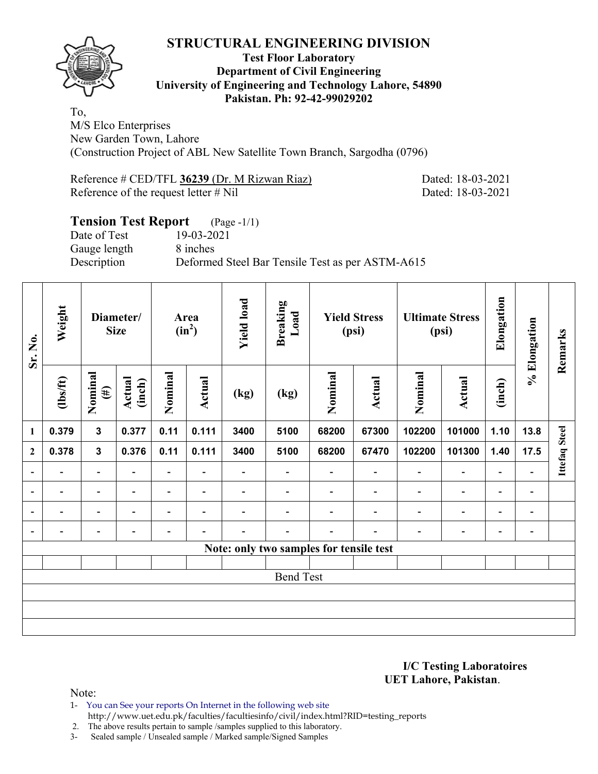

#### **Test Floor Laboratory Department of Civil Engineering University of Engineering and Technology Lahore, 54890 Pakistan. Ph: 92-42-99029202**

To, M/S Elco Enterprises New Garden Town, Lahore (Construction Project of ABL New Satellite Town Branch, Sargodha (0796)

Reference # CED/TFL **36239** (Dr. M Rizwan Riaz) Dated: 18-03-2021 Reference of the request letter # Nil Dated: 18-03-2021

#### **Tension Test Report** (Page -1/1) Date of Test 19-03-2021 Gauge length 8 inches

Description Deformed Steel Bar Tensile Test as per ASTM-A615

| Sr. No.                  | Weight   |                          | <b>Yield load</b><br>Breaking<br>Load<br>Diameter/<br><b>Yield Stress</b><br>Area<br>$(in^2)$<br><b>Size</b><br>(psi) |                          |                          |                          |                  | <b>Ultimate Stress</b><br>(psi)         |                          | Elongation               | % Elongation             | Remarks                  |                              |                      |
|--------------------------|----------|--------------------------|-----------------------------------------------------------------------------------------------------------------------|--------------------------|--------------------------|--------------------------|------------------|-----------------------------------------|--------------------------|--------------------------|--------------------------|--------------------------|------------------------------|----------------------|
|                          | (1bs/ft) | Nominal<br>$(\#)$        | Actual<br>(inch)                                                                                                      | Nominal                  | Actual                   | (kg)                     | (kg)             | Nominal                                 | Actual                   | Nominal                  | Actual                   | (inch)                   |                              |                      |
| 1                        | 0.379    | $\mathbf{3}$             | 0.377                                                                                                                 | 0.11                     | 0.111                    | 3400                     | 5100             | 68200                                   | 67300                    | 102200                   | 101000                   | 1.10                     | 13.8                         |                      |
| $\mathbf{2}$             | 0.378    | $\mathbf{3}$             | 0.376                                                                                                                 | 0.11                     | 0.111                    | 3400                     | 5100             | 68200                                   | 67470                    | 102200                   | 101300                   | 1.40                     | 17.5                         | <b>Ittefaq Steel</b> |
| $\overline{\phantom{a}}$ | Ξ.       | $\overline{\phantom{a}}$ | $\blacksquare$                                                                                                        | $\overline{\phantom{a}}$ | $\overline{\phantom{a}}$ | $\overline{\phantom{0}}$ |                  |                                         | $\overline{\phantom{0}}$ | $\blacksquare$           | $\overline{\phantom{0}}$ | $\overline{\phantom{a}}$ |                              |                      |
| $\overline{a}$           | -        | $\overline{\phantom{0}}$ | $\overline{\phantom{0}}$                                                                                              | -                        | $\overline{\phantom{a}}$ |                          |                  |                                         | $\overline{\phantom{0}}$ | $\overline{\phantom{a}}$ | $\blacksquare$           | $\overline{\phantom{0}}$ | $\qquad \qquad \blacksquare$ |                      |
| $\overline{a}$           |          | $\overline{\phantom{0}}$ |                                                                                                                       |                          | $\overline{\phantom{a}}$ |                          |                  |                                         |                          |                          | -                        | $\overline{\phantom{0}}$ | $\blacksquare$               |                      |
| $\overline{a}$           |          | -                        |                                                                                                                       |                          |                          |                          |                  |                                         |                          |                          | -                        | -                        | $\qquad \qquad \blacksquare$ |                      |
|                          |          |                          |                                                                                                                       |                          |                          |                          |                  | Note: only two samples for tensile test |                          |                          |                          |                          |                              |                      |
|                          |          |                          |                                                                                                                       |                          |                          |                          |                  |                                         |                          |                          |                          |                          |                              |                      |
|                          |          |                          |                                                                                                                       |                          |                          |                          | <b>Bend Test</b> |                                         |                          |                          |                          |                          |                              |                      |
|                          |          |                          |                                                                                                                       |                          |                          |                          |                  |                                         |                          |                          |                          |                          |                              |                      |
|                          |          |                          |                                                                                                                       |                          |                          |                          |                  |                                         |                          |                          |                          |                          |                              |                      |
|                          |          |                          |                                                                                                                       |                          |                          |                          |                  |                                         |                          |                          |                          |                          |                              |                      |

**I/C Testing Laboratoires UET Lahore, Pakistan**.

Note:

1- You can See your reports On Internet in the following web site http://www.uet.edu.pk/faculties/facultiesinfo/civil/index.html?RID=testing\_reports

2. The above results pertain to sample /samples supplied to this laboratory.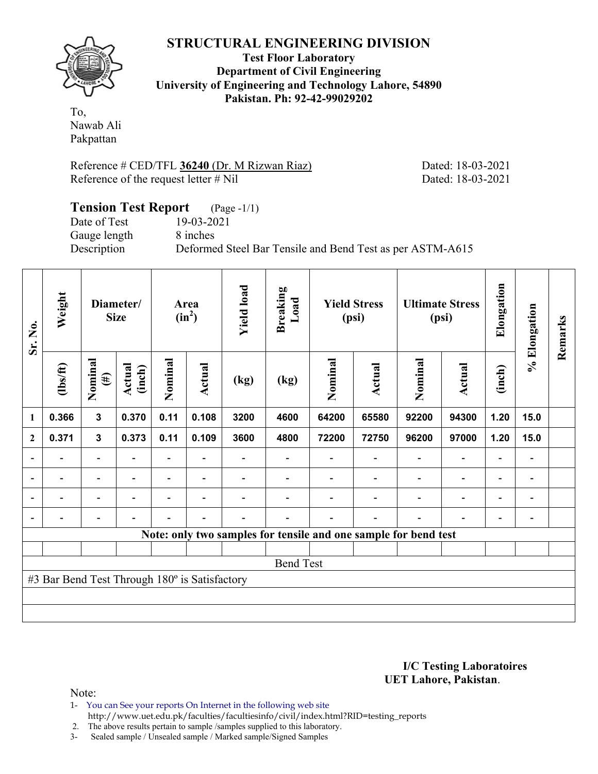

**Test Floor Laboratory Department of Civil Engineering University of Engineering and Technology Lahore, 54890 Pakistan. Ph: 92-42-99029202** 

To, Nawab Ali Pakpattan

Reference # CED/TFL **36240** (Dr. M Rizwan Riaz) Dated: 18-03-2021 Reference of the request letter # Nil Dated: 18-03-2021

## **Tension Test Report** (Page -1/1) Date of Test 19-03-2021 Gauge length 8 inches Description Deformed Steel Bar Tensile and Bend Test as per ASTM-A615

| Sr. No.                  | Weight                                        |                          | Diameter/<br><b>Size</b> |         | Area<br>$(in^2)$         | <b>Yield load</b> | <b>Breaking</b><br>Load |         | <b>Yield Stress</b><br>(psi)                                    |         | <b>Ultimate Stress</b><br>(psi) | Elongation               | % Elongation                 | Remarks |
|--------------------------|-----------------------------------------------|--------------------------|--------------------------|---------|--------------------------|-------------------|-------------------------|---------|-----------------------------------------------------------------|---------|---------------------------------|--------------------------|------------------------------|---------|
|                          | $\frac{2}{10}$                                | Nominal<br>$(\#)$        | Actual<br>(inch)         | Nominal | Actual                   | (kg)              | (kg)                    | Nominal | <b>Actual</b>                                                   | Nominal | Actual                          | (inch)                   |                              |         |
| $\mathbf{1}$             | 0.366                                         | $\mathbf{3}$             | 0.370                    | 0.11    | 0.108                    | 3200              | 4600                    | 64200   | 65580                                                           | 92200   | 94300                           | 1.20                     | 15.0                         |         |
| $\overline{2}$           | 0.371                                         | $\mathbf{3}$             | 0.373                    | 0.11    | 0.109                    | 3600              | 4800                    | 72200   | 72750                                                           | 96200   | 97000                           | 1.20                     | 15.0                         |         |
| $\overline{\phantom{a}}$ |                                               | $\blacksquare$           |                          |         |                          |                   |                         |         |                                                                 |         | $\overline{\phantom{a}}$        |                          | $\qquad \qquad \blacksquare$ |         |
| $\overline{\phantom{a}}$ |                                               |                          |                          |         |                          |                   |                         |         |                                                                 |         |                                 |                          | $\blacksquare$               |         |
| $\overline{\phantom{a}}$ | $\overline{\phantom{0}}$                      | $\overline{\phantom{a}}$ | ٠                        |         | $\overline{\phantom{0}}$ |                   |                         |         |                                                                 |         | $\overline{a}$                  | $\overline{\phantom{0}}$ | $\overline{\phantom{a}}$     |         |
| $\overline{\phantom{a}}$ |                                               | $\overline{\phantom{0}}$ |                          |         |                          |                   |                         |         |                                                                 |         |                                 | $\blacksquare$           | $\overline{\phantom{a}}$     |         |
|                          |                                               |                          |                          |         |                          |                   |                         |         | Note: only two samples for tensile and one sample for bend test |         |                                 |                          |                              |         |
|                          |                                               |                          |                          |         |                          |                   |                         |         |                                                                 |         |                                 |                          |                              |         |
|                          |                                               |                          |                          |         |                          |                   | <b>Bend Test</b>        |         |                                                                 |         |                                 |                          |                              |         |
|                          | #3 Bar Bend Test Through 180° is Satisfactory |                          |                          |         |                          |                   |                         |         |                                                                 |         |                                 |                          |                              |         |
|                          |                                               |                          |                          |         |                          |                   |                         |         |                                                                 |         |                                 |                          |                              |         |
|                          |                                               |                          |                          |         |                          |                   |                         |         |                                                                 |         |                                 |                          |                              |         |

#### **I/C Testing Laboratoires UET Lahore, Pakistan**.

Note:

1- You can See your reports On Internet in the following web site http://www.uet.edu.pk/faculties/facultiesinfo/civil/index.html?RID=testing\_reports

2. The above results pertain to sample /samples supplied to this laboratory.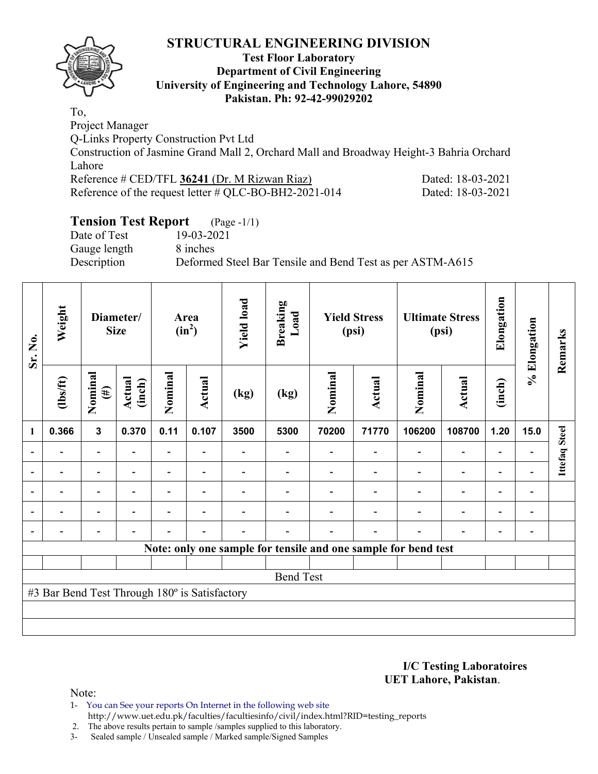

## **Test Floor Laboratory Department of Civil Engineering University of Engineering and Technology Lahore, 54890 Pakistan. Ph: 92-42-99029202**

To, Project Manager

Q-Links Property Construction Pvt Ltd

Construction of Jasmine Grand Mall 2, Orchard Mall and Broadway Height-3 Bahria Orchard Lahore

| Reference # CED/TFL 36241 (Dr. M Rizwan Riaz)            | Dated: 18-03-2021 |
|----------------------------------------------------------|-------------------|
| Reference of the request letter $\#$ QLC-BO-BH2-2021-014 | Dated: 18-03-2021 |

Dated: 18-03-2021

# **Tension Test Report** (Page -1/1)<br>Date of Test 19-03-2021

Date of Test Gauge length 8 inches

Description Deformed Steel Bar Tensile and Bend Test as per ASTM-A615

| Sr. No. | Weight                                        |                          | Diameter/<br><b>Size</b> |                | Area<br>$(in^2)$         | <b>Yield load</b> | <b>Breaking</b><br>Load |         | <b>Yield Stress</b><br>(psi) |                                                                | <b>Ultimate Stress</b><br>(psi) | Elongation               | % Elongation                 | Remarks              |
|---------|-----------------------------------------------|--------------------------|--------------------------|----------------|--------------------------|-------------------|-------------------------|---------|------------------------------|----------------------------------------------------------------|---------------------------------|--------------------------|------------------------------|----------------------|
|         | $\frac{2}{10}$                                | Nominal<br>$(\#)$        | Actual<br>(inch)         | Nominal        | <b>Actual</b>            | (kg)              | (kg)                    | Nominal | Actual                       | Nominal                                                        | Actual                          | (inch)                   |                              |                      |
| 1       | 0.366                                         | $\mathbf{3}$             | 0.370                    | 0.11           | 0.107                    | 3500              | 5300                    | 70200   | 71770                        | 106200                                                         | 108700                          | 1.20                     | 15.0                         |                      |
|         |                                               | $\overline{\phantom{0}}$ |                          | Ξ.             | $\overline{\phantom{0}}$ |                   |                         |         |                              | $\overline{a}$                                                 | $\qquad \qquad \blacksquare$    | $\overline{a}$           |                              | <b>Ittefaq Steel</b> |
|         |                                               | $\blacksquare$           |                          | $\blacksquare$ |                          |                   |                         |         |                              |                                                                | $\overline{\phantom{0}}$        | $\overline{a}$           |                              |                      |
|         | ۰                                             | $\overline{\phantom{a}}$ |                          |                | ۰                        |                   |                         |         |                              |                                                                | $\overline{\phantom{0}}$        | $\overline{\phantom{0}}$ | $\blacksquare$               |                      |
|         | $\overline{\phantom{0}}$                      | $\overline{\phantom{0}}$ |                          | $\blacksquare$ | ۰                        |                   |                         |         |                              | $\blacksquare$                                                 | $\overline{a}$                  | $\overline{\phantom{0}}$ | $\qquad \qquad \blacksquare$ |                      |
|         | $\overline{\phantom{0}}$                      | $\overline{\phantom{0}}$ |                          |                | $\overline{\phantom{0}}$ |                   |                         |         | $\blacksquare$               | $\blacksquare$                                                 | $\qquad \qquad \blacksquare$    | $\overline{\phantom{a}}$ | $\overline{\phantom{0}}$     |                      |
|         |                                               |                          |                          |                |                          |                   |                         |         |                              | Note: only one sample for tensile and one sample for bend test |                                 |                          |                              |                      |
|         |                                               |                          |                          |                |                          |                   |                         |         |                              |                                                                |                                 |                          |                              |                      |
|         |                                               |                          |                          |                |                          |                   | <b>Bend Test</b>        |         |                              |                                                                |                                 |                          |                              |                      |
|         | #3 Bar Bend Test Through 180° is Satisfactory |                          |                          |                |                          |                   |                         |         |                              |                                                                |                                 |                          |                              |                      |
|         |                                               |                          |                          |                |                          |                   |                         |         |                              |                                                                |                                 |                          |                              |                      |
|         |                                               |                          |                          |                |                          |                   |                         |         |                              |                                                                |                                 |                          |                              |                      |

**I/C Testing Laboratoires UET Lahore, Pakistan**.

Note:

1- You can See your reports On Internet in the following web site http://www.uet.edu.pk/faculties/facultiesinfo/civil/index.html?RID=testing\_reports

2. The above results pertain to sample /samples supplied to this laboratory.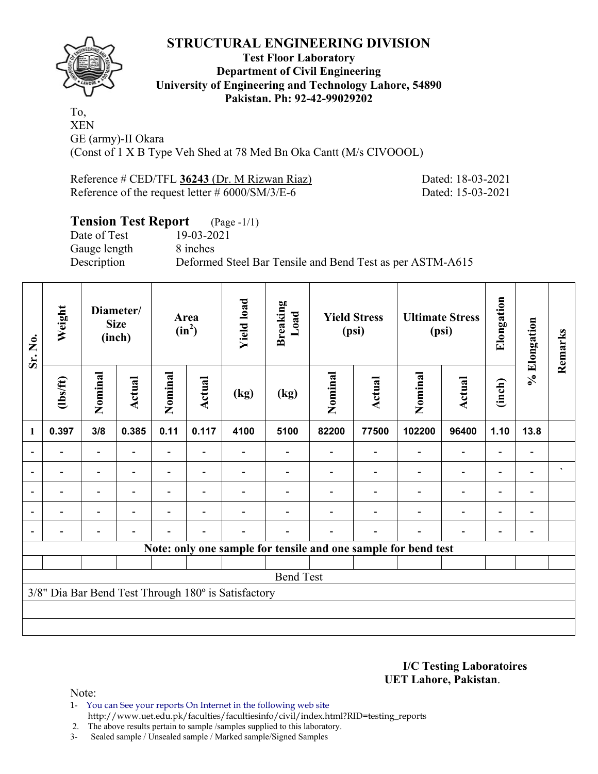

## **Test Floor Laboratory Department of Civil Engineering University of Engineering and Technology Lahore, 54890 Pakistan. Ph: 92-42-99029202**

To, XEN GE (army)-II Okara (Const of 1 X B Type Veh Shed at 78 Med Bn Oka Cantt (M/s CIVOOOL)

Reference # CED/TFL 36243 (Dr. M Rizwan Riaz) Dated: 18-03-2021 Reference of the request letter # 6000/SM/3/E-6 Dated: 15-03-2021

# **Tension Test Report** (Page -1/1)

Date of Test 19-03-2021 Gauge length 8 inches

Description Deformed Steel Bar Tensile and Bend Test as per ASTM-A615

| Sr. No.        | Weight                                              | Diameter/<br>Area<br><b>Size</b><br>$(in^2)$<br>(inch) |                | <b>Yield load</b> | <b>Breaking</b><br>Load  |      | <b>Yield Stress</b><br>(psi) |         | <b>Ultimate Stress</b><br>(psi) | Elongation                                                     | % Elongation             | Remarks                  |                          |                            |
|----------------|-----------------------------------------------------|--------------------------------------------------------|----------------|-------------------|--------------------------|------|------------------------------|---------|---------------------------------|----------------------------------------------------------------|--------------------------|--------------------------|--------------------------|----------------------------|
|                | (1bs/ft)                                            | Nominal                                                | Actual         | Nominal           | Actual                   | (kg) | (kg)                         | Nominal | <b>Actual</b>                   | Nominal                                                        | <b>Actual</b>            | (inch)                   |                          |                            |
| 1              | 0.397                                               | 3/8                                                    | 0.385          | 0.11              | 0.117                    | 4100 | 5100                         | 82200   | 77500                           | 102200                                                         | 96400                    | 1.10                     | 13.8                     |                            |
|                |                                                     | $\blacksquare$                                         |                |                   |                          |      |                              |         |                                 |                                                                | $\overline{\phantom{0}}$ |                          |                          |                            |
|                |                                                     | $\overline{\phantom{0}}$                               |                |                   |                          |      |                              |         |                                 |                                                                |                          | $\overline{\phantom{0}}$ |                          | $\boldsymbol{\mathcal{N}}$ |
| $\blacksquare$ |                                                     | $\blacksquare$                                         | $\blacksquare$ |                   | $\overline{\phantom{a}}$ |      |                              |         |                                 |                                                                | $\blacksquare$           | $\overline{\phantom{0}}$ | $\overline{\phantom{0}}$ |                            |
|                |                                                     | $\blacksquare$                                         |                |                   | $\blacksquare$           |      |                              |         |                                 |                                                                | $\blacksquare$           | $\overline{\phantom{0}}$ |                          |                            |
|                |                                                     | $\overline{\phantom{0}}$                               |                |                   | $\blacksquare$           |      |                              |         |                                 |                                                                | $\overline{a}$           | $\overline{\phantom{0}}$ |                          |                            |
|                |                                                     |                                                        |                |                   |                          |      |                              |         |                                 | Note: only one sample for tensile and one sample for bend test |                          |                          |                          |                            |
|                |                                                     |                                                        |                |                   |                          |      |                              |         |                                 |                                                                |                          |                          |                          |                            |
|                |                                                     |                                                        |                |                   |                          |      | <b>Bend Test</b>             |         |                                 |                                                                |                          |                          |                          |                            |
|                | 3/8" Dia Bar Bend Test Through 180° is Satisfactory |                                                        |                |                   |                          |      |                              |         |                                 |                                                                |                          |                          |                          |                            |
|                |                                                     |                                                        |                |                   |                          |      |                              |         |                                 |                                                                |                          |                          |                          |                            |
|                |                                                     |                                                        |                |                   |                          |      |                              |         |                                 |                                                                |                          |                          |                          |                            |

**I/C Testing Laboratoires UET Lahore, Pakistan**.

Note:

1- You can See your reports On Internet in the following web site http://www.uet.edu.pk/faculties/facultiesinfo/civil/index.html?RID=testing\_reports

2. The above results pertain to sample /samples supplied to this laboratory.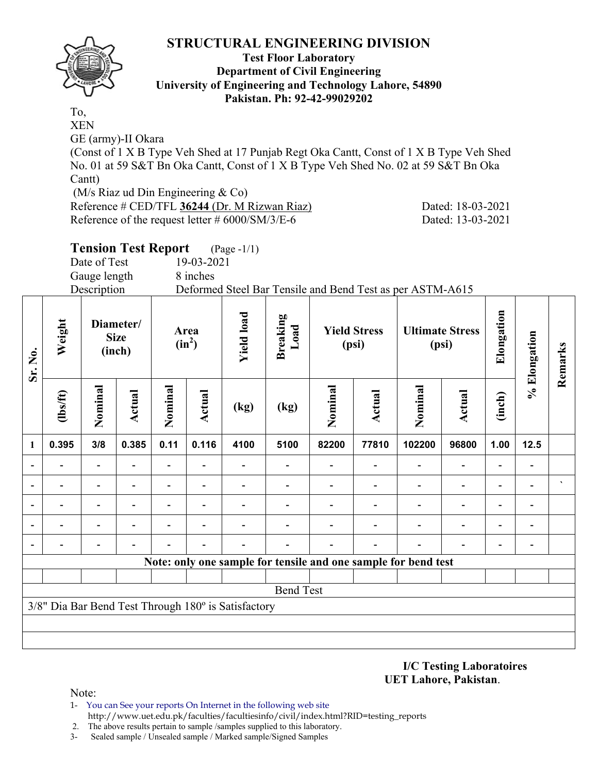

#### **Test Floor Laboratory Department of Civil Engineering University of Engineering and Technology Lahore, 54890 Pakistan. Ph: 92-42-99029202**

To, XEN

GE (army)-II Okara

(Const of 1 X B Type Veh Shed at 17 Punjab Regt Oka Cantt, Const of 1 X B Type Veh Shed No. 01 at 59 S&T Bn Oka Cantt, Const of 1 X B Type Veh Shed No. 02 at 59 S&T Bn Oka Cantt)

(M/s Riaz ud Din Engineering & Co)

Reference # CED/TFL **36244** (Dr. M Rizwan Riaz) Dated: 18-03-2021 Reference of the request letter # 6000/SM/3/E-6 Dated: 13-03-2021

# **Tension Test Report** (Page -1/1)

Date of Test 19-03-2021

Gauge length 8 inches

Description Deformed Steel Bar Tensile and Bend Test as per ASTM-A615

| Sr. No.                  | Weight                                              |                          | <b>Yield load</b><br>Diameter/<br>Area<br><b>Size</b><br>$(in^2)$<br>(inch) |                          | <b>Breaking</b><br>Load  | <b>Yield Stress</b><br>(psi) |                  | <b>Ultimate Stress</b><br>(psi) |        | Elongation                                                     | % Elongation             | Remarks                  |                          |                      |
|--------------------------|-----------------------------------------------------|--------------------------|-----------------------------------------------------------------------------|--------------------------|--------------------------|------------------------------|------------------|---------------------------------|--------|----------------------------------------------------------------|--------------------------|--------------------------|--------------------------|----------------------|
|                          | (1bs/ft)                                            | Nominal                  | <b>Actual</b>                                                               | Nominal                  | Actual                   | (kg)                         | (kg)             | Nominal                         | Actual | Nominal                                                        | Actual                   | (inch)                   |                          |                      |
| 1                        | 0.395                                               | 3/8                      | 0.385                                                                       | 0.11                     | 0.116                    | 4100                         | 5100             | 82200                           | 77810  | 102200                                                         | 96800                    | 1.00                     | $12.5$                   |                      |
| $\overline{\phantom{0}}$ |                                                     |                          |                                                                             |                          |                          |                              |                  |                                 |        |                                                                | $\overline{\phantom{a}}$ | $\overline{a}$           |                          |                      |
|                          |                                                     | $\overline{\phantom{0}}$ |                                                                             | $\overline{\phantom{0}}$ | $\overline{\phantom{0}}$ |                              |                  |                                 |        |                                                                | $\overline{\phantom{a}}$ | Ξ.                       |                          | $\blacktriangledown$ |
| $\blacksquare$           |                                                     | $\overline{\phantom{0}}$ |                                                                             |                          |                          |                              |                  |                                 |        |                                                                | $\overline{\phantom{a}}$ | $\overline{\phantom{a}}$ | $\overline{\phantom{0}}$ |                      |
|                          |                                                     | $\blacksquare$           |                                                                             |                          |                          |                              |                  |                                 |        |                                                                | $\overline{\phantom{0}}$ | $\overline{\phantom{0}}$ | $\blacksquare$           |                      |
|                          |                                                     |                          |                                                                             |                          |                          |                              |                  |                                 |        |                                                                |                          | $\overline{\phantom{0}}$ |                          |                      |
|                          |                                                     |                          |                                                                             |                          |                          |                              |                  |                                 |        | Note: only one sample for tensile and one sample for bend test |                          |                          |                          |                      |
|                          |                                                     |                          |                                                                             |                          |                          |                              |                  |                                 |        |                                                                |                          |                          |                          |                      |
|                          |                                                     |                          |                                                                             |                          |                          |                              | <b>Bend Test</b> |                                 |        |                                                                |                          |                          |                          |                      |
|                          | 3/8" Dia Bar Bend Test Through 180° is Satisfactory |                          |                                                                             |                          |                          |                              |                  |                                 |        |                                                                |                          |                          |                          |                      |
|                          |                                                     |                          |                                                                             |                          |                          |                              |                  |                                 |        |                                                                |                          |                          |                          |                      |
|                          |                                                     |                          |                                                                             |                          |                          |                              |                  |                                 |        |                                                                |                          |                          |                          |                      |

#### **I/C Testing Laboratoires UET Lahore, Pakistan**.

Note:

- 1- You can See your reports On Internet in the following web site http://www.uet.edu.pk/faculties/facultiesinfo/civil/index.html?RID=testing\_reports
- 2. The above results pertain to sample /samples supplied to this laboratory.
- 3- Sealed sample / Unsealed sample / Marked sample/Signed Samples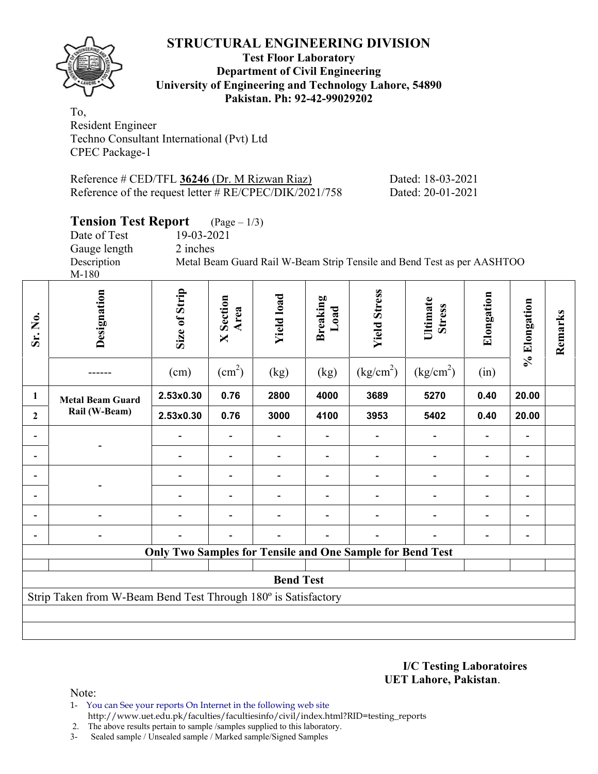

#### **Test Floor Laboratory Department of Civil Engineering University of Engineering and Technology Lahore, 54890 Pakistan. Ph: 92-42-99029202**

To, Resident Engineer Techno Consultant International (Pvt) Ltd CPEC Package-1

| Reference # CED/TFL $36246$ (Dr. M Rizwan Riaz)          | Dated: 18-03-2021 |
|----------------------------------------------------------|-------------------|
| Reference of the request letter # $RE/CPEC/DIK/2021/758$ | Dated: 20-01-2021 |

# **Tension Test Report** (Page – 1/3)

| Date of Test | 19-03-2021 |                                                                         |  |  |  |
|--------------|------------|-------------------------------------------------------------------------|--|--|--|
| Gauge length | 2 inches   |                                                                         |  |  |  |
| Description  |            | Metal Beam Guard Rail W-Beam Strip Tensile and Bend Test as per AASHTOO |  |  |  |
| M-180        |            |                                                                         |  |  |  |
|              |            |                                                                         |  |  |  |

| Sr. No.                                                        | Designation             | Size of Strip<br>(cm)                                            | <b>X</b> Section<br>Area<br>(cm <sup>2</sup> ) | <b>Yield load</b><br>(kg) | <b>Breaking</b><br>Load<br>(kg) | <b>Yield Stress</b><br>(kg/cm <sup>2</sup> ) | Ultimate<br><b>Stress</b><br>(kg/cm <sup>2</sup> ) | Elongation<br>(in) | % Elongation             | Remarks |
|----------------------------------------------------------------|-------------------------|------------------------------------------------------------------|------------------------------------------------|---------------------------|---------------------------------|----------------------------------------------|----------------------------------------------------|--------------------|--------------------------|---------|
|                                                                |                         | 2.53x0.30                                                        | 0.76                                           | 2800                      | 4000                            | 3689                                         | 5270                                               | 0.40               | 20.00                    |         |
| 1                                                              | <b>Metal Beam Guard</b> |                                                                  |                                                |                           |                                 |                                              |                                                    |                    |                          |         |
| $\boldsymbol{2}$                                               | Rail (W-Beam)           | 2.53x0.30                                                        | 0.76                                           | 3000                      | 4100                            | 3953                                         | 5402                                               | 0.40               | 20.00                    |         |
|                                                                |                         |                                                                  |                                                |                           |                                 |                                              |                                                    |                    |                          |         |
|                                                                |                         |                                                                  | $\qquad \qquad \blacksquare$                   |                           | -                               |                                              |                                                    |                    |                          |         |
|                                                                |                         |                                                                  | $\overline{\phantom{0}}$                       |                           | $\overline{\phantom{0}}$        |                                              |                                                    |                    | $\overline{\phantom{a}}$ |         |
| $\blacksquare$                                                 |                         |                                                                  | $\overline{\phantom{0}}$                       |                           | -                               |                                              |                                                    |                    | $\overline{\phantom{a}}$ |         |
| $\blacksquare$                                                 |                         |                                                                  |                                                |                           |                                 |                                              |                                                    |                    |                          |         |
| $\overline{\phantom{0}}$                                       |                         |                                                                  |                                                |                           |                                 |                                              |                                                    |                    |                          |         |
|                                                                |                         | <b>Only Two Samples for Tensile and One Sample for Bend Test</b> |                                                |                           |                                 |                                              |                                                    |                    |                          |         |
|                                                                |                         |                                                                  |                                                |                           |                                 |                                              |                                                    |                    |                          |         |
| <b>Bend Test</b>                                               |                         |                                                                  |                                                |                           |                                 |                                              |                                                    |                    |                          |         |
| Strip Taken from W-Beam Bend Test Through 180° is Satisfactory |                         |                                                                  |                                                |                           |                                 |                                              |                                                    |                    |                          |         |
|                                                                |                         |                                                                  |                                                |                           |                                 |                                              |                                                    |                    |                          |         |
|                                                                |                         |                                                                  |                                                |                           |                                 |                                              |                                                    |                    |                          |         |

**I/C Testing Laboratoires UET Lahore, Pakistan**.

Note:

- 1- You can See your reports On Internet in the following web site http://www.uet.edu.pk/faculties/facultiesinfo/civil/index.html?RID=testing\_reports
- 2. The above results pertain to sample /samples supplied to this laboratory.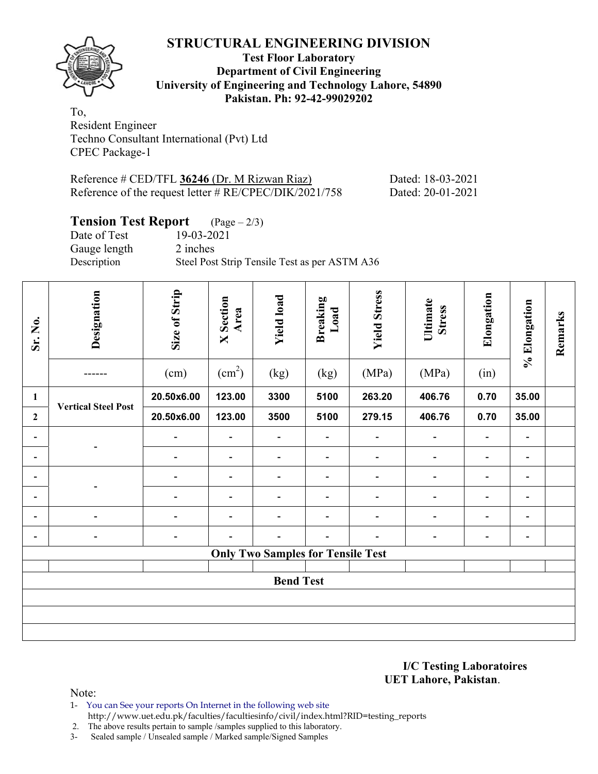

## **Test Floor Laboratory Department of Civil Engineering University of Engineering and Technology Lahore, 54890 Pakistan. Ph: 92-42-99029202**

To, Resident Engineer Techno Consultant International (Pvt) Ltd CPEC Package-1

| Reference # CED/TFL 36246 (Dr. M Rizwan Riaz)             | Dated: 18-03-2021 |
|-----------------------------------------------------------|-------------------|
| Reference of the request letter $\# RE/CPEC/DIK/2021/758$ | Dated: 20-01-2021 |

## **Tension Test Report** (Page – 2/3)

Date of Test 19-03-2021 Gauge length 2 inches

Description Steel Post Strip Tensile Test as per ASTM A36

| Sr. No.                      | Designation                | Size of Strip<br>(cm)    | <b>X</b> Section<br>Area<br>$\text{(cm}^2\text{)}$ | <b>Yield load</b><br>(kg)                | <b>Breaking</b><br>Load<br>(kg) | <b>Yield Stress</b><br>(MPa) | Ultimate<br><b>Stress</b><br>(MPa) | Elongation<br>(in)           | % Elongation                 | Remarks |
|------------------------------|----------------------------|--------------------------|----------------------------------------------------|------------------------------------------|---------------------------------|------------------------------|------------------------------------|------------------------------|------------------------------|---------|
| $\mathbf{1}$                 | <b>Vertical Steel Post</b> | 20.50x6.00               | 123.00                                             | 3300                                     | 5100                            | 263.20                       | 406.76                             | 0.70                         | 35.00                        |         |
| $\overline{2}$               |                            | 20.50x6.00               | 123.00                                             | 3500                                     | 5100                            | 279.15                       | 406.76                             | 0.70                         | 35.00                        |         |
| $\overline{\phantom{0}}$     |                            | $\overline{\phantom{a}}$ | $\qquad \qquad \blacksquare$                       | $\overline{\phantom{a}}$                 | $\blacksquare$                  | $\blacksquare$               |                                    | $\overline{\phantom{a}}$     | $\overline{\phantom{a}}$     |         |
| $\qquad \qquad \blacksquare$ |                            | -                        | $\qquad \qquad \blacksquare$                       | $\overline{\phantom{a}}$                 | $\overline{\phantom{a}}$        | $\blacksquare$               |                                    | $\qquad \qquad \blacksquare$ | $\overline{\phantom{a}}$     |         |
| $\qquad \qquad \blacksquare$ |                            | $\overline{\phantom{0}}$ | $\overline{\phantom{0}}$                           | $\overline{a}$                           | $\overline{\phantom{a}}$        | $\blacksquare$               |                                    | $\qquad \qquad \blacksquare$ | $\qquad \qquad \blacksquare$ |         |
| $\qquad \qquad \blacksquare$ |                            | $\overline{\phantom{0}}$ | $\overline{\phantom{a}}$                           | $\overline{\phantom{a}}$                 | $\overline{\phantom{a}}$        | $\overline{\phantom{a}}$     |                                    | $\overline{\phantom{a}}$     | $\qquad \qquad \blacksquare$ |         |
| $\overline{\phantom{0}}$     |                            |                          |                                                    |                                          | $\blacksquare$                  |                              |                                    | $\blacksquare$               | $\overline{\phantom{0}}$     |         |
| $\overline{a}$               | $\overline{\phantom{0}}$   | $\overline{\phantom{0}}$ |                                                    | $\blacksquare$                           | $\blacksquare$                  |                              |                                    | $\overline{a}$               |                              |         |
|                              |                            |                          |                                                    | <b>Only Two Samples for Tensile Test</b> |                                 |                              |                                    |                              |                              |         |
|                              |                            |                          |                                                    |                                          |                                 |                              |                                    |                              |                              |         |
| <b>Bend Test</b>             |                            |                          |                                                    |                                          |                                 |                              |                                    |                              |                              |         |
|                              |                            |                          |                                                    |                                          |                                 |                              |                                    |                              |                              |         |
|                              |                            |                          |                                                    |                                          |                                 |                              |                                    |                              |                              |         |
|                              |                            |                          |                                                    |                                          |                                 |                              |                                    |                              |                              |         |

**I/C Testing Laboratoires UET Lahore, Pakistan**.

Note:

1- You can See your reports On Internet in the following web site http://www.uet.edu.pk/faculties/facultiesinfo/civil/index.html?RID=testing\_reports

2. The above results pertain to sample /samples supplied to this laboratory.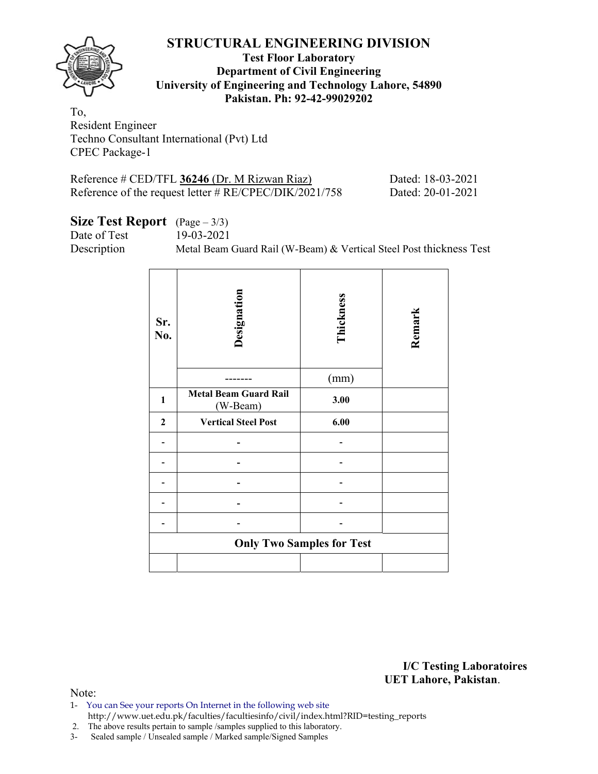

### **Test Floor Laboratory Department of Civil Engineering University of Engineering and Technology Lahore, 54890 Pakistan. Ph: 92-42-99029202**

To, Resident Engineer Techno Consultant International (Pvt) Ltd CPEC Package-1

| Reference # CED/TFL 36246 (Dr. M Rizwan Riaz)          |  |
|--------------------------------------------------------|--|
| Reference of the request letter # RE/CPEC/DIK/2021/758 |  |

Dated: 18-03-2021 Dated: 20-01-2021

# **Size Test Report** (Page – 3/3)

Date of Test 19-03-2021

Description Metal Beam Guard Rail (W-Beam) & Vertical Steel Post thickness Test

| Sr.<br>No.   | Designation                              | Thickness<br>(mm)                | Remark |
|--------------|------------------------------------------|----------------------------------|--------|
| $\mathbf{1}$ | <b>Metal Beam Guard Rail</b><br>(W-Beam) | 3.00                             |        |
| $\mathbf{2}$ | <b>Vertical Steel Post</b>               | 6.00                             |        |
|              |                                          |                                  |        |
|              |                                          |                                  |        |
|              |                                          |                                  |        |
|              |                                          |                                  |        |
|              |                                          |                                  |        |
|              |                                          | <b>Only Two Samples for Test</b> |        |
|              |                                          |                                  |        |

**I/C Testing Laboratoires UET Lahore, Pakistan**.

Note:

- 1- You can See your reports On Internet in the following web site http://www.uet.edu.pk/faculties/facultiesinfo/civil/index.html?RID=testing\_reports
- 2. The above results pertain to sample /samples supplied to this laboratory.
- 3- Sealed sample / Unsealed sample / Marked sample/Signed Samples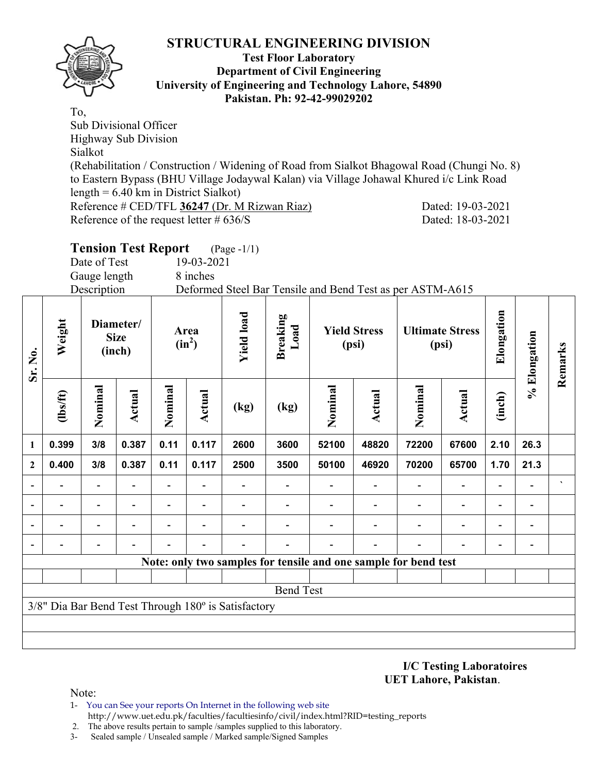

#### **Test Floor Laboratory Department of Civil Engineering University of Engineering and Technology Lahore, 54890 Pakistan. Ph: 92-42-99029202**

To, Sub Divisional Officer Highway Sub Division Sialkot (Rehabilitation / Construction / Widening of Road from Sialkot Bhagowal Road (Chungi No. 8) to Eastern Bypass (BHU Village Jodaywal Kalan) via Village Johawal Khured i/c Link Road length = 6.40 km in District Sialkot) Reference # CED/TFL **36247** (Dr. M Rizwan Riaz) Dated: 19-03-2021 Reference of the request letter # 636/S Dated: 18-03-2021

| <b>Tension Test Report</b> |            | $(Page - 1/1)$ |              |                                                           |  |
|----------------------------|------------|----------------|--------------|-----------------------------------------------------------|--|
| Date of Test               | 19-03-2021 |                |              |                                                           |  |
| Gauge length               | 8 inches   |                |              |                                                           |  |
| Description                |            |                |              | Deformed Steel Bar Tensile and Bend Test as per ASTM-A615 |  |
| Diameter/                  |            |                | $\mathbf{a}$ |                                                           |  |

| Sr. No.                  | Weight                                              | Diameter/<br><b>Size</b><br>(inch) |                          | Area<br>$(in^2)$ |                          | <b>Yield load</b> | <b>Breaking</b><br>Load | <b>Yield Stress</b><br>(psi)                                    |        | <b>Ultimate Stress</b><br>(psi) |                          | Elongation | % Elongation   | Remarks              |
|--------------------------|-----------------------------------------------------|------------------------------------|--------------------------|------------------|--------------------------|-------------------|-------------------------|-----------------------------------------------------------------|--------|---------------------------------|--------------------------|------------|----------------|----------------------|
|                          | $lbsft$                                             | Nominal                            | <b>Actual</b>            | Nominal          | <b>Actual</b>            | (kg)              | (kg)                    | Nominal                                                         | Actual | Nominal                         | <b>Actual</b>            | (inch)     |                |                      |
| $\mathbf{1}$             | 0.399                                               | 3/8                                | 0.387                    | 0.11             | 0.117                    | 2600              | 3600                    | 52100                                                           | 48820  | 72200                           | 67600                    | 2.10       | 26.3           |                      |
| $\mathbf{2}$             | 0.400                                               | 3/8                                | 0.387                    | 0.11             | 0.117                    | 2500              | 3500                    | 50100                                                           | 46920  | 70200                           | 65700                    | 1.70       | 21.3           |                      |
| $\overline{\phantom{a}}$ |                                                     |                                    | $\overline{\phantom{0}}$ |                  |                          |                   |                         |                                                                 |        |                                 |                          |            |                | $\blacktriangledown$ |
|                          |                                                     | $\overline{\phantom{0}}$           | $\overline{\phantom{0}}$ | ۰                | $\overline{\phantom{0}}$ | $\blacksquare$    |                         | -                                                               |        |                                 | $\overline{\phantom{0}}$ | ۰          | $\blacksquare$ |                      |
|                          |                                                     |                                    | -                        |                  |                          |                   |                         |                                                                 |        |                                 |                          |            |                |                      |
|                          |                                                     |                                    |                          |                  |                          |                   |                         |                                                                 |        |                                 |                          |            |                |                      |
|                          |                                                     |                                    |                          |                  |                          |                   |                         | Note: only two samples for tensile and one sample for bend test |        |                                 |                          |            |                |                      |
|                          |                                                     |                                    |                          |                  |                          |                   |                         |                                                                 |        |                                 |                          |            |                |                      |
|                          | <b>Bend Test</b>                                    |                                    |                          |                  |                          |                   |                         |                                                                 |        |                                 |                          |            |                |                      |
|                          | 3/8" Dia Bar Bend Test Through 180° is Satisfactory |                                    |                          |                  |                          |                   |                         |                                                                 |        |                                 |                          |            |                |                      |
|                          |                                                     |                                    |                          |                  |                          |                   |                         |                                                                 |        |                                 |                          |            |                |                      |
|                          |                                                     |                                    |                          |                  |                          |                   |                         |                                                                 |        |                                 |                          |            |                |                      |

**I/C Testing Laboratoires UET Lahore, Pakistan**.

Note:

- 1- You can See your reports On Internet in the following web site http://www.uet.edu.pk/faculties/facultiesinfo/civil/index.html?RID=testing\_reports
- 2. The above results pertain to sample /samples supplied to this laboratory.
- 3- Sealed sample / Unsealed sample / Marked sample/Signed Samples